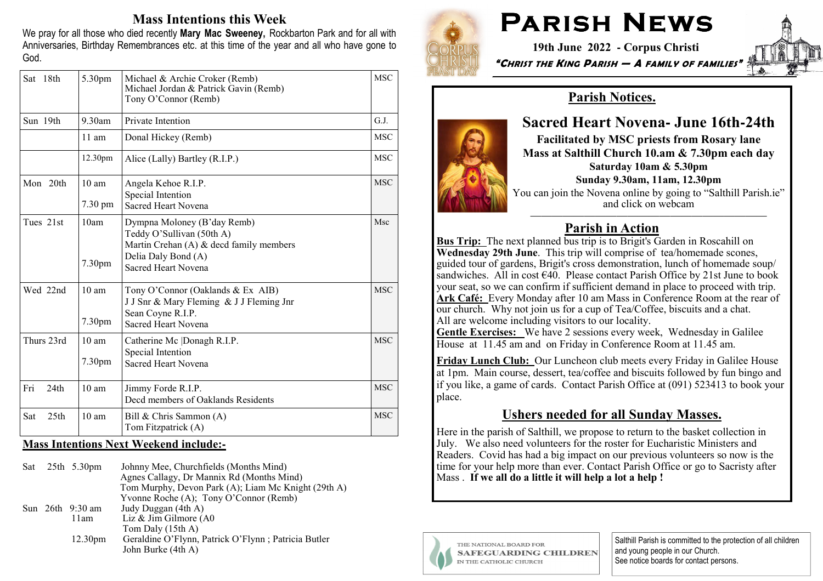### Mass Intentions this Week

We pray for all those who died recently Mary Mac Sweeney, Rockbarton Park and for all with Anniversaries, Birthday Remembrances etc. at this time of the year and all who have gone to God.

| Sat 18th                | 5.30pm                                | Michael & Archie Croker (Remb)<br>Michael Jordan & Patrick Gavin (Remb)<br>Tony O'Connor (Remb)                                                   | <b>MSC</b> |
|-------------------------|---------------------------------------|---------------------------------------------------------------------------------------------------------------------------------------------------|------------|
| Sun 19th                | $9.30$ am                             | Private Intention                                                                                                                                 | G.J.       |
|                         | $11$ am                               | Donal Hickey (Remb)                                                                                                                               | <b>MSC</b> |
|                         | 12.30pm                               | Alice (Lally) Bartley (R.I.P.)                                                                                                                    | <b>MSC</b> |
| Mon 20th                | $10 \text{ am}$<br>$7.30 \text{ pm}$  | Angela Kehoe R.I.P.<br>Special Intention<br><b>Sacred Heart Novena</b>                                                                            | <b>MSC</b> |
| Tues 21st               | 10am<br>7.30pm                        | Dympna Moloney (B'day Remb)<br>Teddy O'Sullivan (50th A)<br>Martin Crehan (A) & decd family members<br>Delia Daly Bond (A)<br>Sacred Heart Novena | Msc        |
| Wed 22nd                | $10 \text{ am}$<br>7.30 <sub>pm</sub> | Tony O'Connor (Oaklands & Ex AIB)<br>J J Snr & Mary Fleming & J J Fleming Jnr<br>Sean Coyne R.I.P.<br>Sacred Heart Novena                         | <b>MSC</b> |
| Thurs 23rd              | $10 \text{ am}$<br>7.30pm             | Catherine Mc Donagh R.I.P.<br>Special Intention<br>Sacred Heart Novena                                                                            | <b>MSC</b> |
| Fri<br>24 <sub>th</sub> | $10 \text{ am}$                       | Jimmy Forde R.I.P.<br>Decd members of Oaklands Residents                                                                                          | <b>MSC</b> |
| 25 <sub>th</sub><br>Sat | 10 <sub>am</sub>                      | Bill & Chris Sammon (A)<br>Tom Fitzpatrick (A)                                                                                                    | <b>MSC</b> |

#### Mass Intentions Next Weekend include:**-**

|  | Sat $25th$ 5.30pm   | Johnny Mee, Churchfields (Months Mind)<br>Agnes Callagy, Dr Mannix Rd (Months Mind)<br>Tom Murphy, Devon Park (A); Liam Mc Knight (29th A)<br>Yvonne Roche (A); Tony O'Connor (Remb) |
|--|---------------------|--------------------------------------------------------------------------------------------------------------------------------------------------------------------------------------|
|  | Sun 26th 9:30 am    | Judy Duggan (4th A)                                                                                                                                                                  |
|  | 11am                | Liz & Jim Gilmore (A0                                                                                                                                                                |
|  |                     | Tom Daly (15th A)                                                                                                                                                                    |
|  | 12.30 <sub>pm</sub> | Geraldine O'Flynn, Patrick O'Flynn; Patricia Butler                                                                                                                                  |
|  |                     | John Burke (4th A)                                                                                                                                                                   |



# PARISH NEWS

 19th June 2022 **-** Corpus Christi"CHRIST THE KING PARISH — A FAMILY OF FAMILIES"



## Parish Notices.

## Sacred Heart Novena**-** June 16th**-**24th

Facilitated by MSC priests from Rosary lane Mass at Salthill Church 10.am & 7.30pm each day Saturday 10am & 5.30pmSunday 9.30am, 11am, 12.30pm

 You can join the Novena online by going to "Salthill Parish.ie" and click on webcam

## Parish in Action

Bus Trip: The next planned bus trip is to Brigit's Garden in Roscahill on Wednesday 29th June. This trip will comprise of tea/homemade scones, guided tour of gardens, Brigit's cross demonstration, lunch of homemade soup/ sandwiches. All in cost €40. Please contact Parish Office by 21st June to book your seat, so we can confirm if sufficient demand in place to proceed with trip.Ark Café: Every Monday after 10 am Mass in Conference Room at the rear of our church. Why not join us for a cup of Tea/Coffee, biscuits and a chat. All are welcome including visitors to our locality.

Gentle Exercises: We have 2 sessions every week, Wednesday in Galilee House at 11.45 am and on Friday in Conference Room at 11.45 am.

Friday Lunch Club: Our Luncheon club meets every Friday in Galilee House at 1pm. Main course, dessert, tea/coffee and biscuits followed by fun bingo and if you like, a game of cards. Contact Parish Office at (091) 523413 to book your place.

## Ushers needed for all Sunday Masses.

Here in the parish of Salthill, we propose to return to the basket collection in July. We also need volunteers for the roster for Eucharistic Ministers and Readers. Covid has had a big impact on our previous volunteers so now is the time for your help more than ever. Contact Parish Office or go to Sacristy after Mass . If we all do a little it will help a lot a help !



THE NATIONAL BOARD FOR **SAFEGUARDING CHILDREN** IN THE CATHOLIC CHURCH

Salthill Parish is committed to the protection of all children and young people in our Church. See notice boards for contact persons.